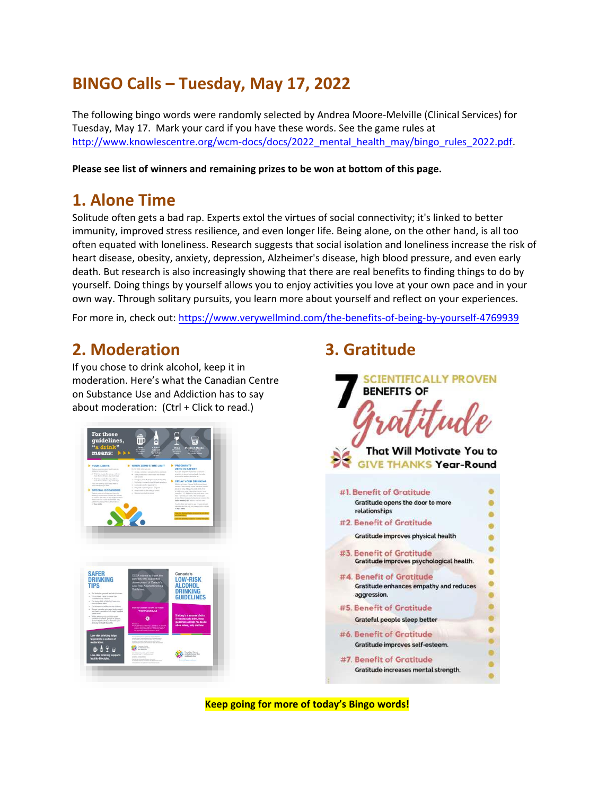# **BINGO Calls – Tuesday, May 17, 2022**

The following bingo words were randomly selected by Andrea Moore-Melville (Clinical Services) for Tuesday, May 17. Mark your card if you have these words. See the game rules at [http://www.knowlescentre.org/wcm-docs/docs/2022\\_mental\\_health\\_may/bingo\\_rules\\_2022.pdf.](http://www.knowlescentre.org/wcm-docs/docs/2022_mental_health_may/bingo_rules_2022.pdf)

**Please see list of winners and remaining prizes to be won at bottom of this page.**

### **1. Alone Time**

Solitude often gets a bad rap. Experts extol the virtues of social connectivity; it's linked to better immunity, improved stress resilience, and even longer life. Being alone, on the other hand, is all too often equated with loneliness. Research suggests that social isolation and loneliness increase the risk of heart disease, obesity, anxiety, depression, Alzheimer's disease, high blood pressure, and even early death. But research is also increasingly showing that there are real benefits to finding things to do by yourself. Doing things by yourself allows you to enjoy activities you love at your own pace and in your own way. Through solitary pursuits, you learn more about yourself and reflect on your experiences.

For more in, check out:<https://www.verywellmind.com/the-benefits-of-being-by-yourself-4769939>

## **2. Moderation**

If you chose to drink alcohol, keep it in moderation. Here's what the Canadian Centre on Substance Use and Addiction has to say [about moderation:](https://www.ccsa.ca/sites/default/files/2020-07/2012-Canada-Low-Risk-Alcohol-Drinking-Guidelines-Brochure-en_0.pdf) (Ctrl + Click to read.)





## **3. Gratitude**



**Keep going for more of today's Bingo words!**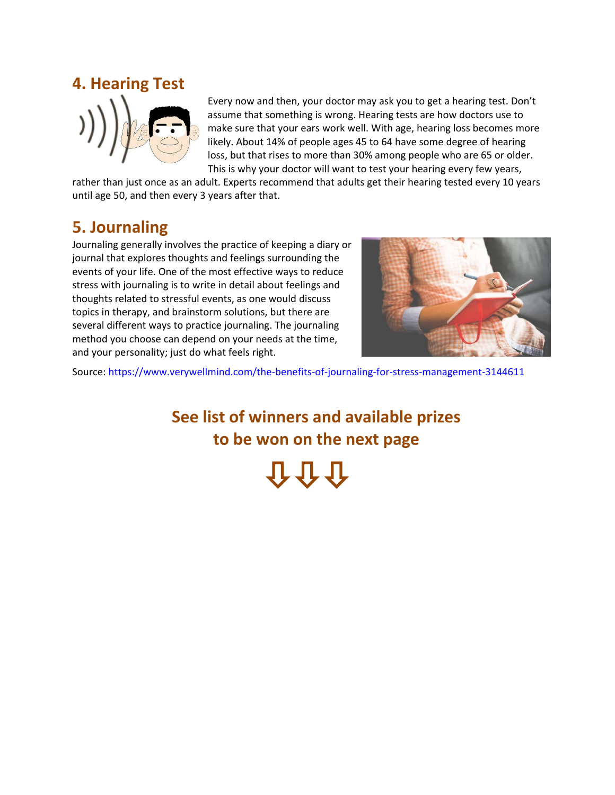

Every now and then, your doctor may ask you to get a hearing test. Don't assume that something is wrong. Hearing tests are how doctors use to make sure that your ears work well. With age, hearing loss becomes more likely. About 14% of people ages 45 to 64 have some degree of hearing loss, but that rises to more than 30% among people who are 65 or older. This is why your doctor will want to test your hearing every few years,

rather than just once as an adult. Experts recommend that adults get their hearing tested every 10 years until age 50, and then every 3 years after that.

## **5. Journaling**

Journaling generally involves the practice of keeping a diary or journal that explores thoughts and feelings surrounding the events of your life. One of the most effective ways to reduce stress with journaling is to write in detail about feelings and thoughts related to stressful events, as one would discuss topics in therapy, and brainstorm solutions, but there are several different ways to practice journaling. The journaling method you choose can depend on your needs at the time, and your personality; just do what feels right.



Source: https://www.verywellmind.com/the-benefits-of-journaling-for-stress-management-3144611

**See list of winners and available prizes to be won on the next page** 介介介